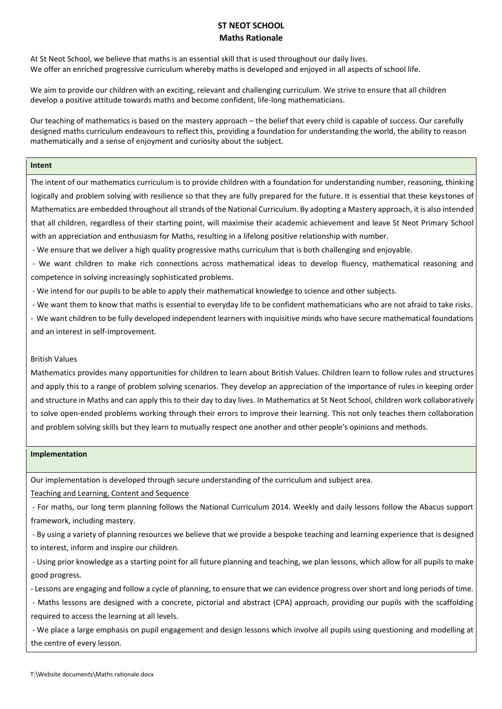# **ST NEOT SCHOOL Maths Rationale**

At St Neot School, we believe that maths is an essential skill that is used throughout our daily lives. We offer an enriched progressive curriculum whereby maths is developed and enjoyed in all aspects of school life.

We aim to provide our children with an exciting, relevant and challenging curriculum. We strive to ensure that all children develop a positive attitude towards maths and become confident, life-long mathematicians.

Our teaching of mathematics is based on the mastery approach – the belief that every child is capable of success. Our carefully designed maths curriculum endeavours to reflect this, providing a foundation for understanding the world, the ability to reason mathematically and a sense of enjoyment and curiosity about the subject.

## **Intent**

The intent of our mathematics curriculum is to provide children with a foundation for understanding number, reasoning, thinking logically and problem solving with resilience so that they are fully prepared for the future. It is essential that these keystones of Mathematics are embedded throughout all strands of the National Curriculum. By adopting a Mastery approach, it is also intended that all children, regardless of their starting point, will maximise their academic achievement and leave St Neot Primary School with an appreciation and enthusiasm for Maths, resulting in a lifelong positive relationship with number.

- We ensure that we deliver a high quality progressive maths curriculum that is both challenging and enjoyable.

- We want children to make rich connections across mathematical ideas to develop fluency, mathematical reasoning and competence in solving increasingly sophisticated problems.

- We intend for our pupils to be able to apply their mathematical knowledge to science and other subjects.

- We want them to know that maths is essential to everyday life to be confident mathematicians who are not afraid to take risks.

- We want children to be fully developed independent learners with inquisitive minds who have secure mathematical foundations and an interest in self-improvement.

# British Values

Mathematics provides many opportunities for children to learn about British Values. Children learn to follow rules and structures and apply this to a range of problem solving scenarios. They develop an appreciation of the importance of rules in keeping order and structure in Maths and can apply this to their day to day lives. In Mathematics at St Neot School, children work collaboratively to solve open-ended problems working through their errors to improve their learning. This not only teaches them collaboration and problem solving skills but they learn to mutually respect one another and other people's opinions and methods.

#### **Implementation**

Our implementation is developed through secure understanding of the curriculum and subject area.

Teaching and Learning, Content and Sequence

- For maths, our long term planning follows the National Curriculum 2014. Weekly and daily lessons follow the Abacus support framework, including mastery.

- By using a variety of planning resources we believe that we provide a bespoke teaching and learning experience that is designed to interest, inform and inspire our children.

- Using prior knowledge as a starting point for all future planning and teaching, we plan lessons, which allow for all pupils to make good progress.

- Lessons are engaging and follow a cycle of planning, to ensure that we can evidence progress over short and long periods of time.

- Maths lessons are designed with a concrete, pictorial and abstract (CPA) approach, providing our pupils with the scaffolding required to access the learning at all levels.

- We place a large emphasis on pupil engagement and design lessons which involve all pupils using questioning and modelling at the centre of every lesson.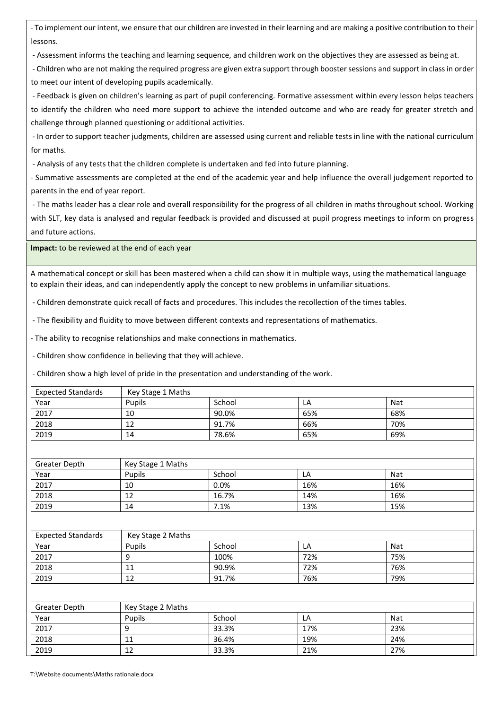- To implement our intent, we ensure that our children are invested in their learning and are making a positive contribution to their lessons.

- Assessment informs the teaching and learning sequence, and children work on the objectives they are assessed as being at.

- Children who are not making the required progress are given extra support through booster sessions and support in class in order to meet our intent of developing pupils academically.

- Feedback is given on children's learning as part of pupil conferencing. Formative assessment within every lesson helps teachers to identify the children who need more support to achieve the intended outcome and who are ready for greater stretch and challenge through planned questioning or additional activities.

- In order to support teacher judgments, children are assessed using current and reliable tests in line with the national curriculum for maths.

- Analysis of any tests that the children complete is undertaken and fed into future planning.

- Summative assessments are completed at the end of the academic year and help influence the overall judgement reported to parents in the end of year report.

- The maths leader has a clear role and overall responsibility for the progress of all children in maths throughout school. Working with SLT, key data is analysed and regular feedback is provided and discussed at pupil progress meetings to inform on progress and future actions.

**Impact:** to be reviewed at the end of each year

A mathematical concept or skill has been mastered when a child can show it in multiple ways, using the mathematical language to explain their ideas, and can independently apply the concept to new problems in unfamiliar situations.

- Children demonstrate quick recall of facts and procedures. This includes the recollection of the times tables.

- The flexibility and fluidity to move between different contexts and representations of mathematics.

- The ability to recognise relationships and make connections in mathematics.

- Children show confidence in believing that they will achieve.

- Children show a high level of pride in the presentation and understanding of the work.

| <b>Expected Standards</b> | Key Stage 1 Maths |        |     |     |
|---------------------------|-------------------|--------|-----|-----|
| Year                      | Pupils            | School | LΑ  | Nat |
| 2017                      | 10                | 90.0%  | 65% | 68% |
| 2018                      | 12                | 91.7%  | 66% | 70% |
| 2019                      | 14                | 78.6%  | 65% | 69% |

| Greater Depth | Key Stage 1 Maths |         |     |            |
|---------------|-------------------|---------|-----|------------|
| Year          | Pupils            | School  | LA  | <b>Nat</b> |
| 2017          | 10                | $0.0\%$ | 16% | 16%        |
| 2018          | 12                | 16.7%   | 14% | 16%        |
| 2019          | 14                | 7.1%    | 13% | 15%        |

| <b>Expected Standards</b> | Key Stage 2 Maths |        |     |     |
|---------------------------|-------------------|--------|-----|-----|
| Year                      | Pupils            | School | LΑ  | Nat |
| 2017                      | q                 | 100%   | 72% | 75% |
| 2018                      | 11                | 90.9%  | 72% | 76% |
| 2019                      | 12                | 91.7%  | 76% | 79% |

| Greater Depth | Key Stage 2 Maths |        |     |     |
|---------------|-------------------|--------|-----|-----|
| Year          | Pupils            | School | LA  | Nat |
| 2017          |                   | 33.3%  | 17% | 23% |
| 2018          | 11                | 36.4%  | 19% | 24% |
| 2019          | 12                | 33.3%  | 21% | 27% |